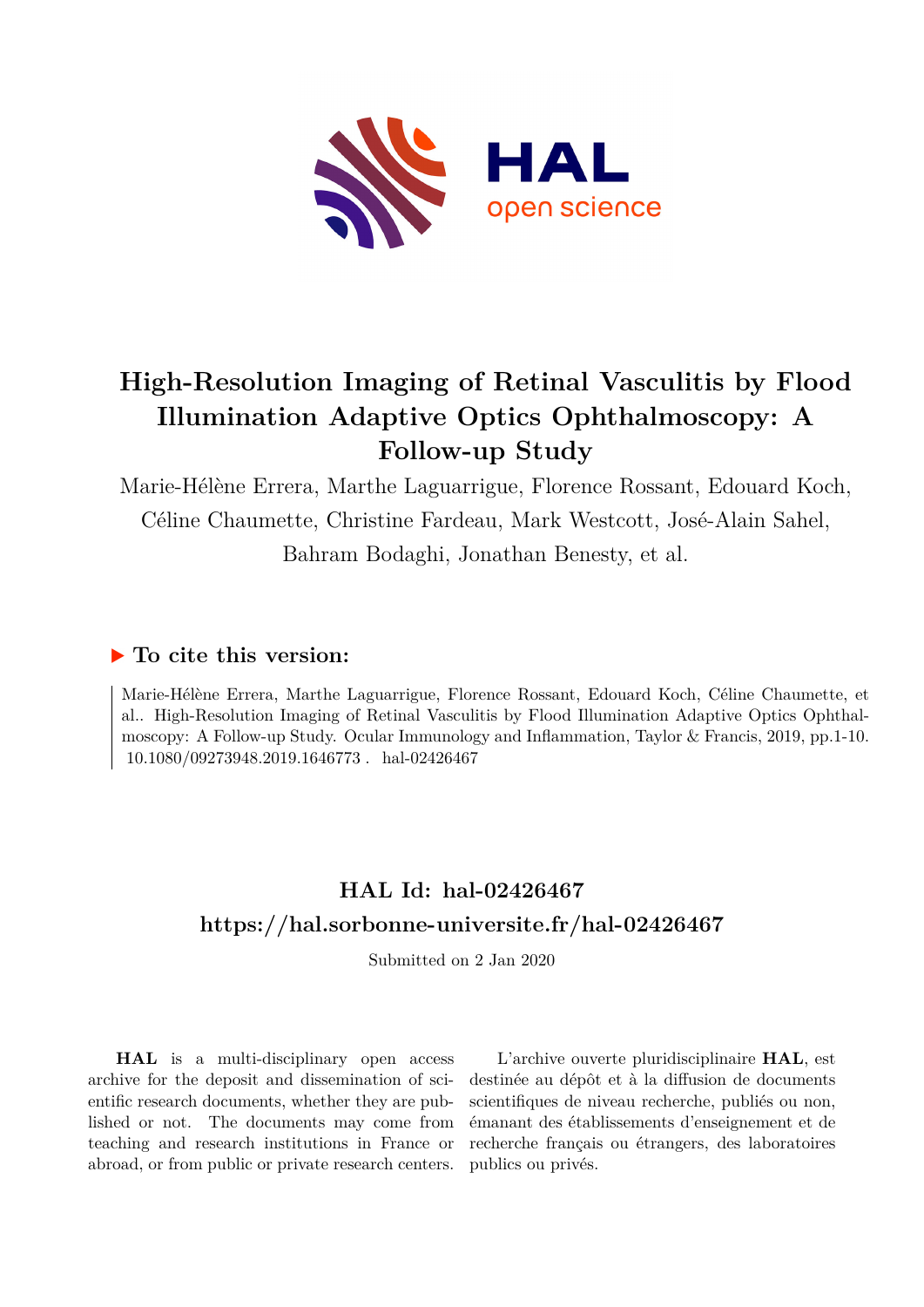

# **High-Resolution Imaging of Retinal Vasculitis by Flood Illumination Adaptive Optics Ophthalmoscopy: A Follow-up Study**

Marie-Hélène Errera, Marthe Laguarrigue, Florence Rossant, Edouard Koch, Céline Chaumette, Christine Fardeau, Mark Westcott, José-Alain Sahel, Bahram Bodaghi, Jonathan Benesty, et al.

### **To cite this version:**

Marie-Hélène Errera, Marthe Laguarrigue, Florence Rossant, Edouard Koch, Céline Chaumette, et al.. High-Resolution Imaging of Retinal Vasculitis by Flood Illumination Adaptive Optics Ophthalmoscopy: A Follow-up Study. Ocular Immunology and Inflammation, Taylor & Francis, 2019, pp.1-10. 10.1080/09273948.2019.1646773. hal-02426467

## **HAL Id: hal-02426467 <https://hal.sorbonne-universite.fr/hal-02426467>**

Submitted on 2 Jan 2020

**HAL** is a multi-disciplinary open access archive for the deposit and dissemination of scientific research documents, whether they are published or not. The documents may come from teaching and research institutions in France or abroad, or from public or private research centers.

L'archive ouverte pluridisciplinaire **HAL**, est destinée au dépôt et à la diffusion de documents scientifiques de niveau recherche, publiés ou non, émanant des établissements d'enseignement et de recherche français ou étrangers, des laboratoires publics ou privés.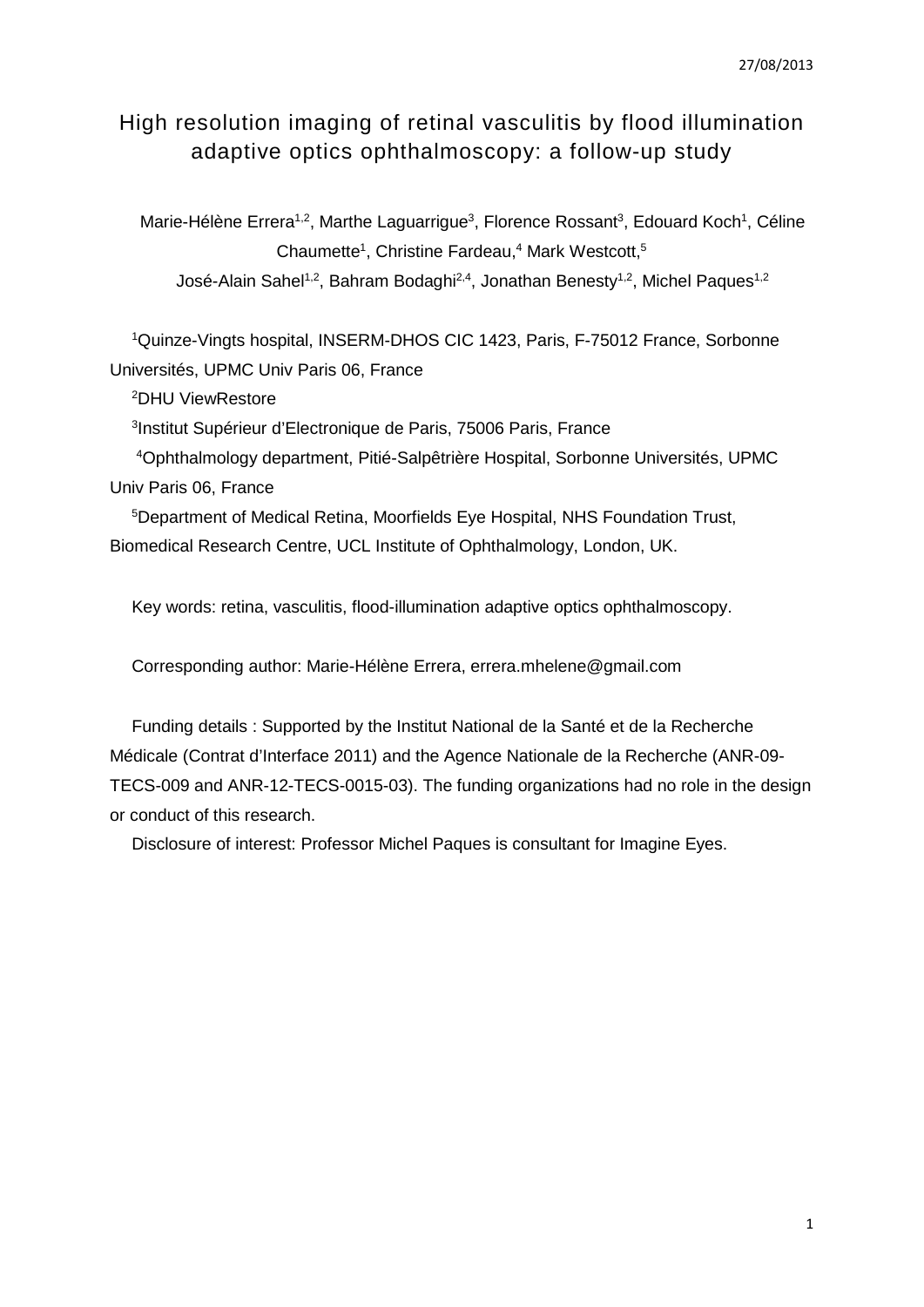### High resolution imaging of retinal vasculitis by flood illumination adaptive optics ophthalmoscopy: a follow-up study

Marie-Hélène Errera<sup>1,2</sup>, Marthe Laguarrigue<sup>3</sup>, Florence Rossant<sup>3</sup>, Edouard Koch<sup>1</sup>, Céline Chaumette<sup>1</sup>, Christine Fardeau,<sup>4</sup> Mark Westcott,<sup>5</sup> José-Alain Sahel<sup>1,2</sup>, Bahram Bodaghi<sup>2,4</sup>, Jonathan Benesty<sup>1,2</sup>, Michel Paques<sup>1,2</sup>

1 Quinze-Vingts hospital, INSERM-DHOS CIC 1423, Paris, F-75012 France, Sorbonne Universités, UPMC Univ Paris 06, France

2 DHU ViewRestore

3 Institut Supérieur d'Electronique de Paris, 75006 Paris, France

4 Ophthalmology department, Pitié-Salpêtrière Hospital, Sorbonne Universités, UPMC Univ Paris 06, France

5 Department of Medical Retina, Moorfields Eye Hospital, NHS Foundation Trust, Biomedical Research Centre, UCL Institute of Ophthalmology, London, UK.

Key words: retina, vasculitis, flood-illumination adaptive optics ophthalmoscopy.

Corresponding author: Marie-Hélène Errera, errera.mhelene@gmail.com

Funding details : Supported by the Institut National de la Santé et de la Recherche Médicale (Contrat d'Interface 2011) and the Agence Nationale de la Recherche (ANR-09- TECS-009 and ANR-12-TECS-0015-03). The funding organizations had no role in the design or conduct of this research.

Disclosure of interest: Professor Michel Paques is consultant for Imagine Eyes.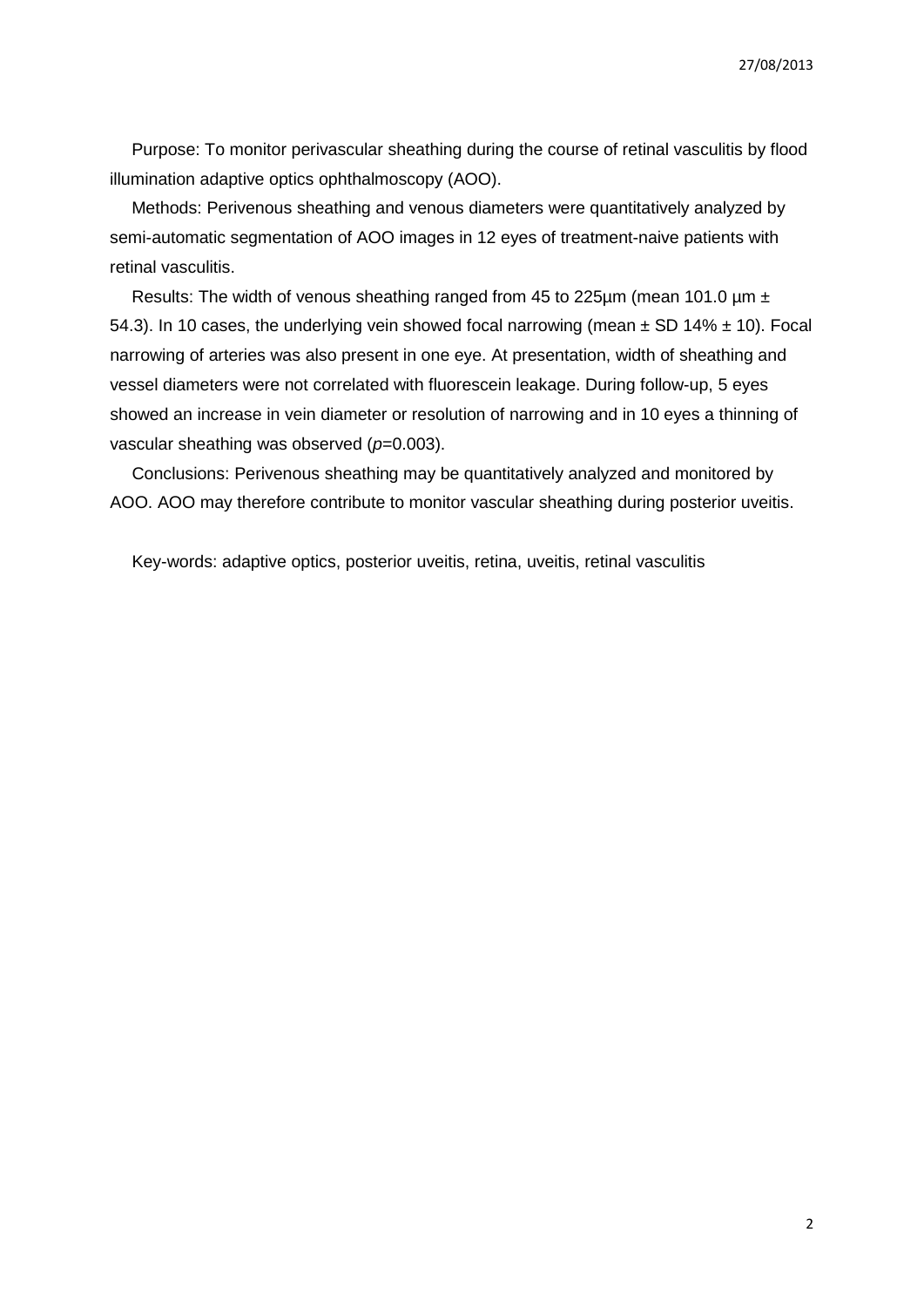Purpose: To monitor perivascular sheathing during the course of retinal vasculitis by flood illumination adaptive optics ophthalmoscopy (AOO).

Methods: Perivenous sheathing and venous diameters were quantitatively analyzed by semi-automatic segmentation of AOO images in 12 eyes of treatment-naive patients with retinal vasculitis.

Results: The width of venous sheathing ranged from 45 to 225 $\mu$ m (mean 101.0  $\mu$ m  $\pm$ 54.3). In 10 cases, the underlying vein showed focal narrowing (mean  $\pm$  SD 14%  $\pm$  10). Focal narrowing of arteries was also present in one eye. At presentation, width of sheathing and vessel diameters were not correlated with fluorescein leakage. During follow-up, 5 eyes showed an increase in vein diameter or resolution of narrowing and in 10 eyes a thinning of vascular sheathing was observed ( $p=0.003$ ).

Conclusions: Perivenous sheathing may be quantitatively analyzed and monitored by AOO. AOO may therefore contribute to monitor vascular sheathing during posterior uveitis.

Key-words: adaptive optics, posterior uveitis, retina, uveitis, retinal vasculitis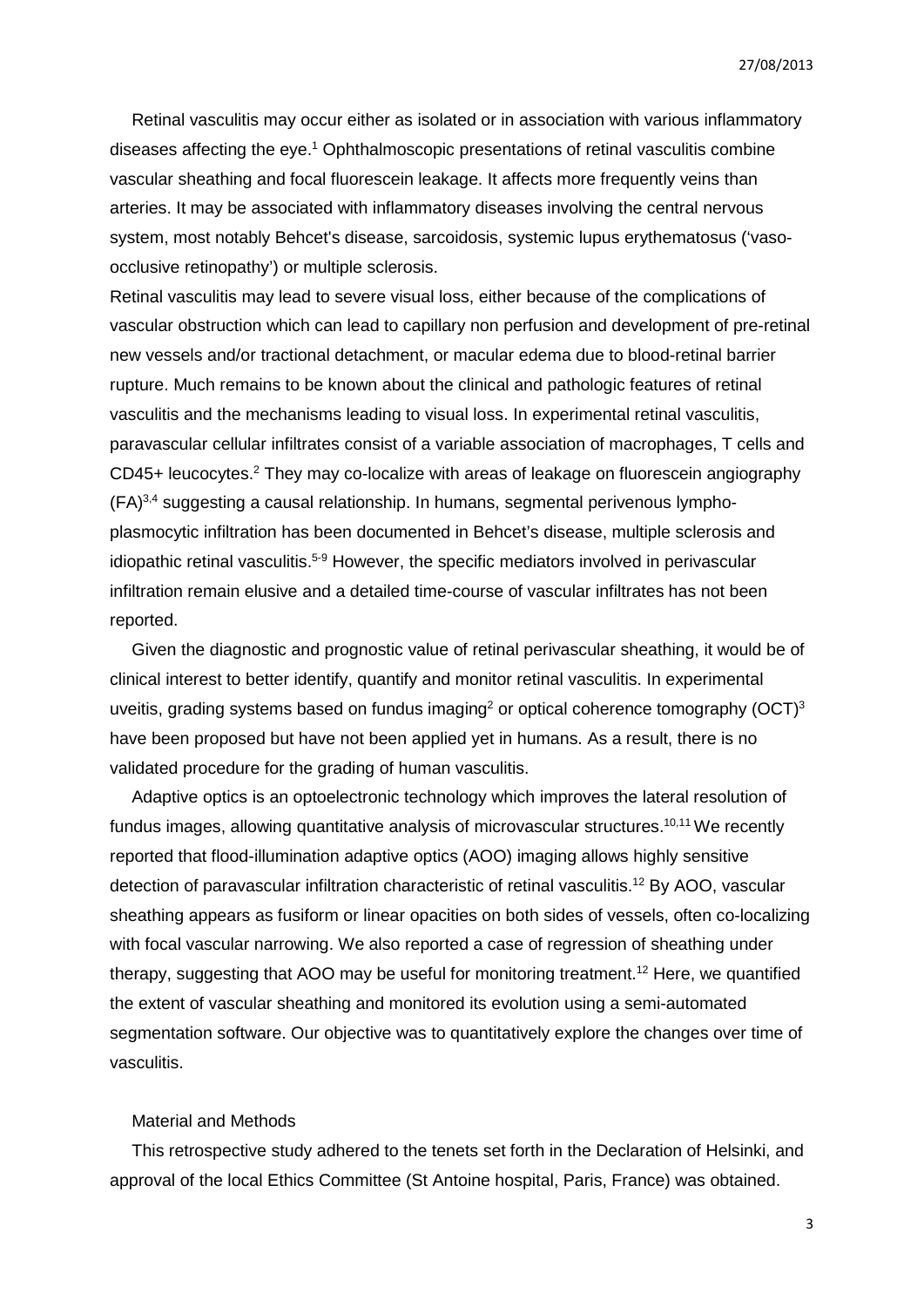Retinal vasculitis may occur either as isolated or in association with various inflammatory diseases affecting the eye. <sup>1</sup> Ophthalmoscopic presentations of retinal vasculitis combine vascular sheathing and focal fluorescein leakage. It affects more frequently veins than arteries. It may be associated with inflammatory diseases involving the central nervous system, most notably Behcet's disease, sarcoidosis, systemic lupus erythematosus ('vasoocclusive retinopathy') or multiple sclerosis.

Retinal vasculitis may lead to severe visual loss, either because of the complications of vascular obstruction which can lead to capillary non perfusion and development of pre-retinal new vessels and/or tractional detachment, or macular edema due to blood-retinal barrier rupture. Much remains to be known about the clinical and pathologic features of retinal vasculitis and the mechanisms leading to visual loss. In experimental retinal vasculitis, paravascular cellular infiltrates consist of a variable association of macrophages, T cells and CD45+ leucocytes. <sup>2</sup> They may co-localize with areas of leakage on fluorescein angiography (FA) 3,4 suggesting a causal relationship. In humans, segmental perivenous lymphoplasmocytic infiltration has been documented in Behcet's disease, multiple sclerosis and idiopathic retinal vasculitis.<sup>5-9</sup> However, the specific mediators involved in perivascular infiltration remain elusive and a detailed time-course of vascular infiltrates has not been reported.

Given the diagnostic and prognostic value of retinal perivascular sheathing, it would be of clinical interest to better identify, quantify and monitor retinal vasculitis. In experimental uveitis, grading systems based on fundus imaging<sup>2</sup> or optical coherence tomography (OCT)<sup>3</sup> have been proposed but have not been applied yet in humans. As a result, there is no validated procedure for the grading of human vasculitis.

Adaptive optics is an optoelectronic technology which improves the lateral resolution of fundus images, allowing quantitative analysis of microvascular structures.<sup>10,11</sup> We recently reported that flood-illumination adaptive optics (AOO) imaging allows highly sensitive detection of paravascular infiltration characteristic of retinal vasculitis. <sup>12</sup> By AOO, vascular sheathing appears as fusiform or linear opacities on both sides of vessels, often co-localizing with focal vascular narrowing. We also reported a case of regression of sheathing under therapy, suggesting that AOO may be useful for monitoring treatment.12 Here, we quantified the extent of vascular sheathing and monitored its evolution using a semi-automated segmentation software. Our objective was to quantitatively explore the changes over time of vasculitis.

#### Material and Methods

This retrospective study adhered to the tenets set forth in the Declaration of Helsinki, and approval of the local Ethics Committee (St Antoine hospital, Paris, France) was obtained.

3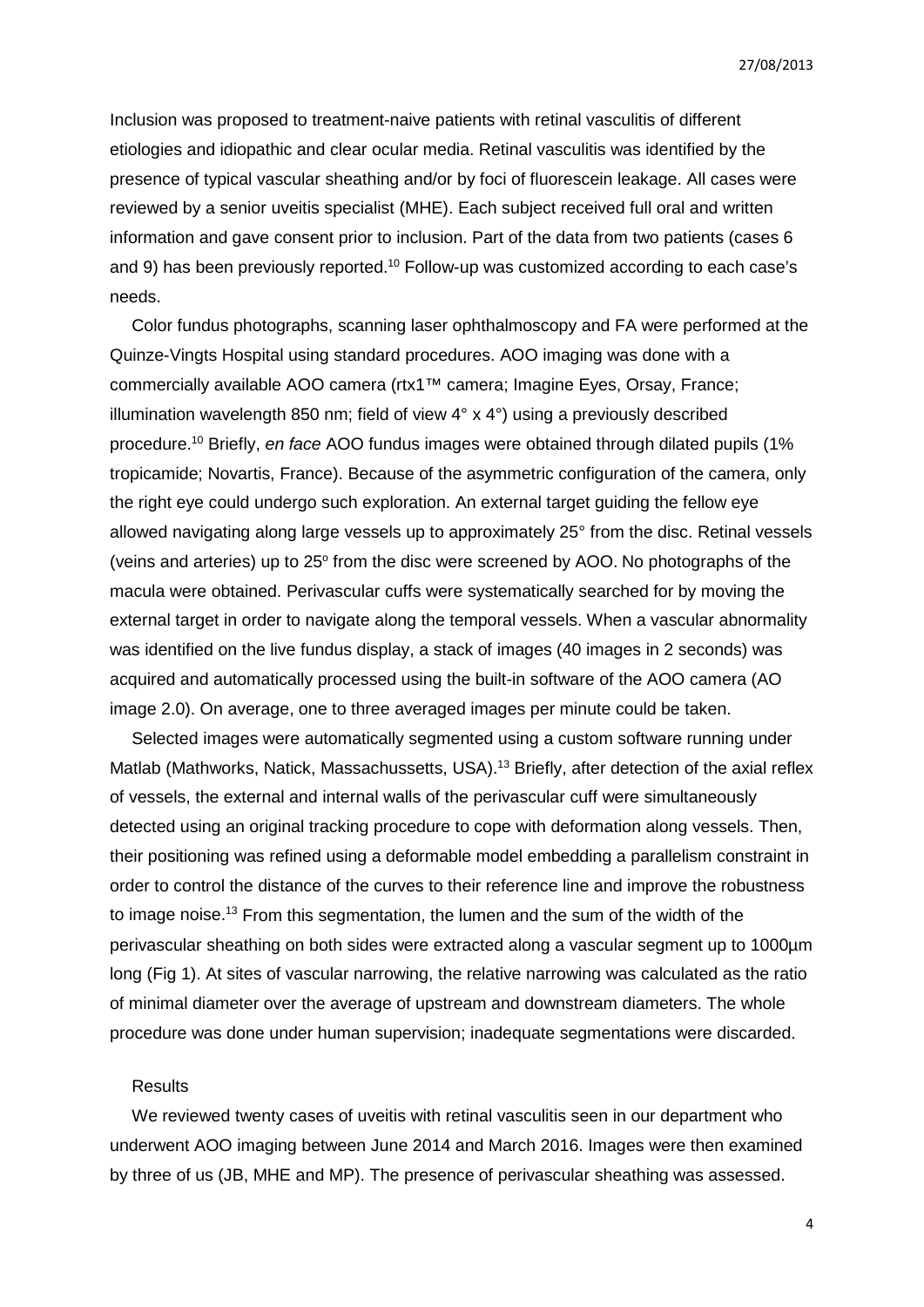Inclusion was proposed to treatment-naive patients with retinal vasculitis of different etiologies and idiopathic and clear ocular media. Retinal vasculitis was identified by the presence of typical vascular sheathing and/or by foci of fluorescein leakage. All cases were reviewed by a senior uveitis specialist (MHE). Each subject received full oral and written information and gave consent prior to inclusion. Part of the data from two patients (cases 6 and 9) has been previously reported.<sup>10</sup> Follow-up was customized according to each case's needs.

Color fundus photographs, scanning laser ophthalmoscopy and FA were performed at the Quinze-Vingts Hospital using standard procedures. AOO imaging was done with a commercially available AOO camera (rtx1™ camera; Imagine Eyes, Orsay, France; illumination wavelength 850 nm; field of view 4° x 4°) using a previously described procedure. <sup>10</sup> Briefly, *en face* AOO fundus images were obtained through dilated pupils (1% tropicamide; Novartis, France). Because of the asymmetric configuration of the camera, only the right eye could undergo such exploration. An external target guiding the fellow eye allowed navigating along large vessels up to approximately 25° from the disc. Retinal vessels (veins and arteries) up to  $25^{\circ}$  from the disc were screened by AOO. No photographs of the macula were obtained. Perivascular cuffs were systematically searched for by moving the external target in order to navigate along the temporal vessels. When a vascular abnormality was identified on the live fundus display, a stack of images (40 images in 2 seconds) was acquired and automatically processed using the built-in software of the AOO camera (AO image 2.0). On average, one to three averaged images per minute could be taken.

Selected images were automatically segmented using a custom software running under Matlab (Mathworks, Natick, Massachussetts, USA).<sup>13</sup> Briefly, after detection of the axial reflex of vessels, the external and internal walls of the perivascular cuff were simultaneously detected using an original tracking procedure to cope with deformation along vessels. Then, their positioning was refined using a deformable model embedding a parallelism constraint in order to control the distance of the curves to their reference line and improve the robustness to image noise.13 From this segmentation, the lumen and the sum of the width of the perivascular sheathing on both sides were extracted along a vascular segment up to 1000µm long (Fig 1). At sites of vascular narrowing, the relative narrowing was calculated as the ratio of minimal diameter over the average of upstream and downstream diameters. The whole procedure was done under human supervision; inadequate segmentations were discarded.

#### **Results**

We reviewed twenty cases of uveitis with retinal vasculitis seen in our department who underwent AOO imaging between June 2014 and March 2016. Images were then examined by three of us (JB, MHE and MP). The presence of perivascular sheathing was assessed.

4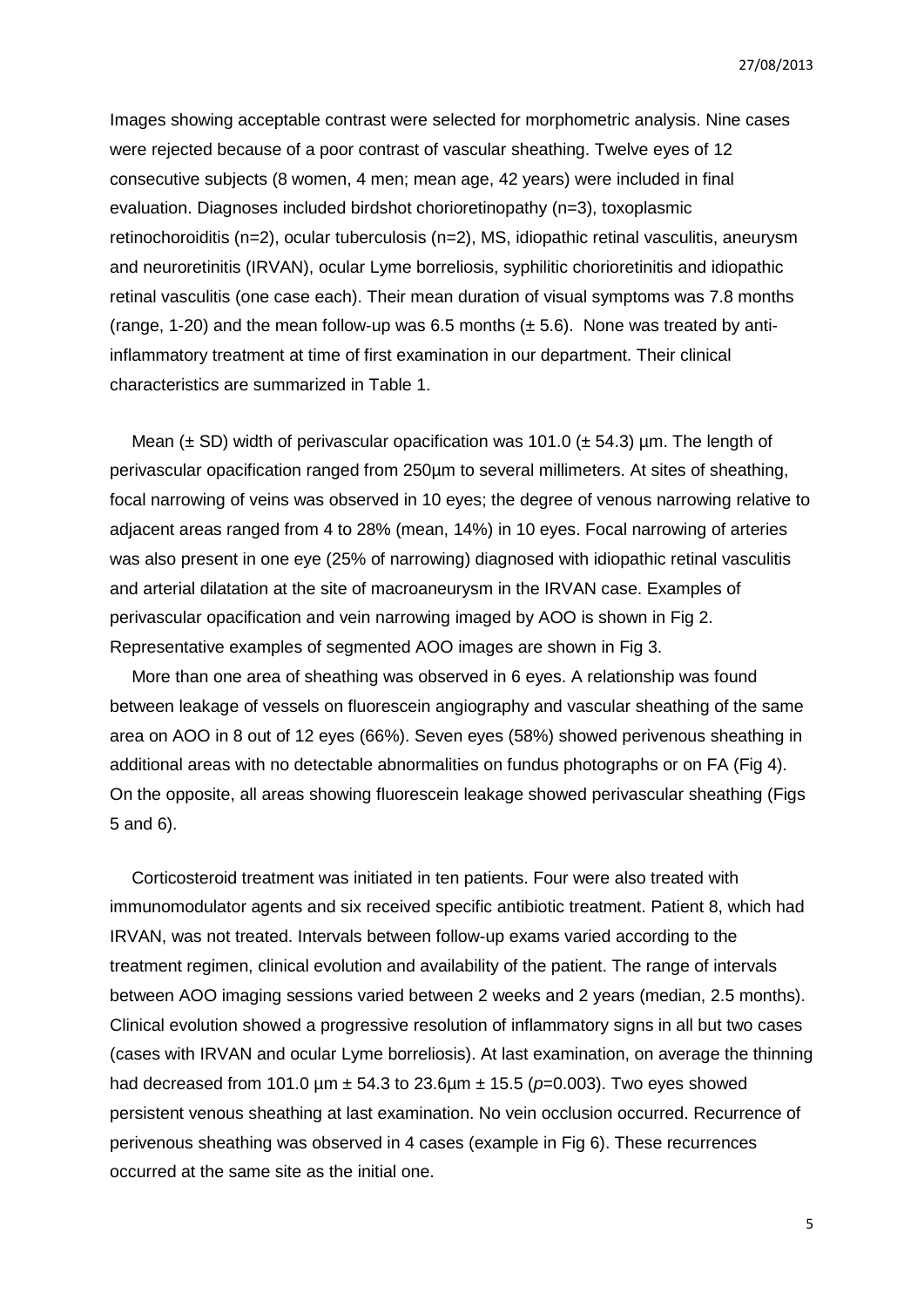Images showing acceptable contrast were selected for morphometric analysis. Nine cases were rejected because of a poor contrast of vascular sheathing. Twelve eyes of 12 consecutive subjects (8 women, 4 men; mean age, 42 years) were included in final evaluation. Diagnoses included birdshot chorioretinopathy (n=3), toxoplasmic retinochoroiditis (n=2), ocular tuberculosis (n=2), MS, idiopathic retinal vasculitis, aneurysm and neuroretinitis (IRVAN), ocular Lyme borreliosis, syphilitic chorioretinitis and idiopathic retinal vasculitis (one case each). Their mean duration of visual symptoms was 7.8 months (range, 1-20) and the mean follow-up was 6.5 months  $(\pm 5.6)$ . None was treated by antiinflammatory treatment at time of first examination in our department. Their clinical characteristics are summarized in Table 1.

Mean ( $\pm$  SD) width of perivascular opacification was 101.0 ( $\pm$  54.3) µm. The length of perivascular opacification ranged from 250µm to several millimeters. At sites of sheathing, focal narrowing of veins was observed in 10 eyes; the degree of venous narrowing relative to adjacent areas ranged from 4 to 28% (mean, 14%) in 10 eyes. Focal narrowing of arteries was also present in one eye (25% of narrowing) diagnosed with idiopathic retinal vasculitis and arterial dilatation at the site of macroaneurysm in the IRVAN case. Examples of perivascular opacification and vein narrowing imaged by AOO is shown in Fig 2. Representative examples of segmented AOO images are shown in Fig 3.

More than one area of sheathing was observed in 6 eyes. A relationship was found between leakage of vessels on fluorescein angiography and vascular sheathing of the same area on AOO in 8 out of 12 eyes (66%). Seven eyes (58%) showed perivenous sheathing in additional areas with no detectable abnormalities on fundus photographs or on FA (Fig 4). On the opposite, all areas showing fluorescein leakage showed perivascular sheathing (Figs 5 and 6).

Corticosteroid treatment was initiated in ten patients. Four were also treated with immunomodulator agents and six received specific antibiotic treatment. Patient 8, which had IRVAN, was not treated. Intervals between follow-up exams varied according to the treatment regimen, clinical evolution and availability of the patient. The range of intervals between AOO imaging sessions varied between 2 weeks and 2 years (median, 2.5 months). Clinical evolution showed a progressive resolution of inflammatory signs in all but two cases (cases with IRVAN and ocular Lyme borreliosis). At last examination, on average the thinning had decreased from 101.0  $\mu$ m  $\pm$  54.3 to 23.6 $\mu$ m  $\pm$  15.5 ( $\rho$ =0.003). Two eyes showed persistent venous sheathing at last examination. No vein occlusion occurred. Recurrence of perivenous sheathing was observed in 4 cases (example in Fig 6). These recurrences occurred at the same site as the initial one.

5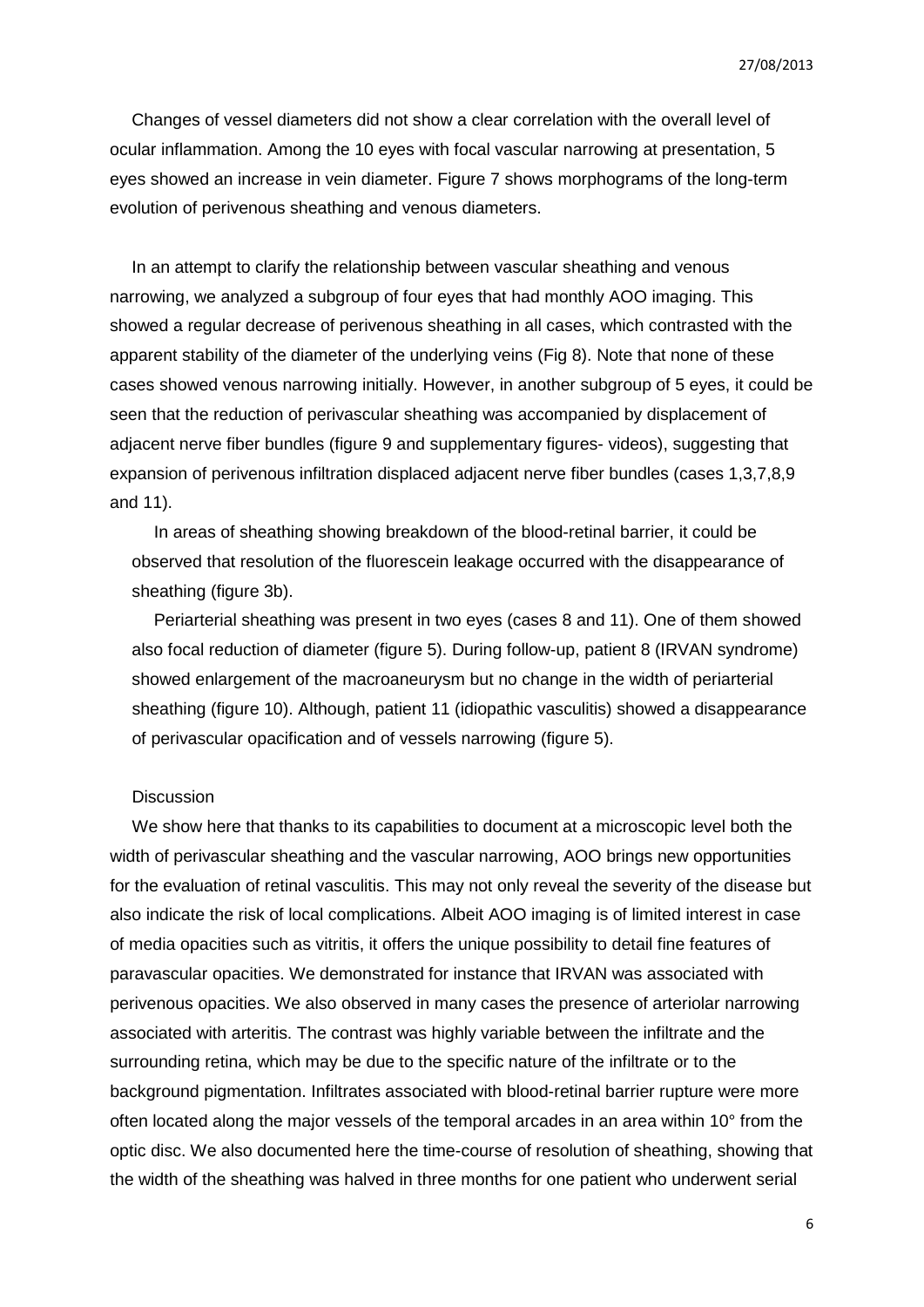Changes of vessel diameters did not show a clear correlation with the overall level of ocular inflammation. Among the 10 eyes with focal vascular narrowing at presentation, 5 eyes showed an increase in vein diameter. Figure 7 shows morphograms of the long-term evolution of perivenous sheathing and venous diameters.

In an attempt to clarify the relationship between vascular sheathing and venous narrowing, we analyzed a subgroup of four eyes that had monthly AOO imaging. This showed a regular decrease of perivenous sheathing in all cases, which contrasted with the apparent stability of the diameter of the underlying veins (Fig 8). Note that none of these cases showed venous narrowing initially. However, in another subgroup of 5 eyes, it could be seen that the reduction of perivascular sheathing was accompanied by displacement of adjacent nerve fiber bundles (figure 9 and supplementary figures- videos), suggesting that expansion of perivenous infiltration displaced adjacent nerve fiber bundles (cases 1,3,7,8,9 and 11).

In areas of sheathing showing breakdown of the blood-retinal barrier, it could be observed that resolution of the fluorescein leakage occurred with the disappearance of sheathing (figure 3b).

Periarterial sheathing was present in two eyes (cases 8 and 11). One of them showed also focal reduction of diameter (figure 5). During follow-up, patient 8 (IRVAN syndrome) showed enlargement of the macroaneurysm but no change in the width of periarterial sheathing (figure 10). Although, patient 11 (idiopathic vasculitis) showed a disappearance of perivascular opacification and of vessels narrowing (figure 5).

#### **Discussion**

We show here that thanks to its capabilities to document at a microscopic level both the width of perivascular sheathing and the vascular narrowing, AOO brings new opportunities for the evaluation of retinal vasculitis. This may not only reveal the severity of the disease but also indicate the risk of local complications. Albeit AOO imaging is of limited interest in case of media opacities such as vitritis, it offers the unique possibility to detail fine features of paravascular opacities. We demonstrated for instance that IRVAN was associated with perivenous opacities. We also observed in many cases the presence of arteriolar narrowing associated with arteritis. The contrast was highly variable between the infiltrate and the surrounding retina, which may be due to the specific nature of the infiltrate or to the background pigmentation. Infiltrates associated with blood-retinal barrier rupture were more often located along the major vessels of the temporal arcades in an area within 10° from the optic disc. We also documented here the time-course of resolution of sheathing, showing that the width of the sheathing was halved in three months for one patient who underwent serial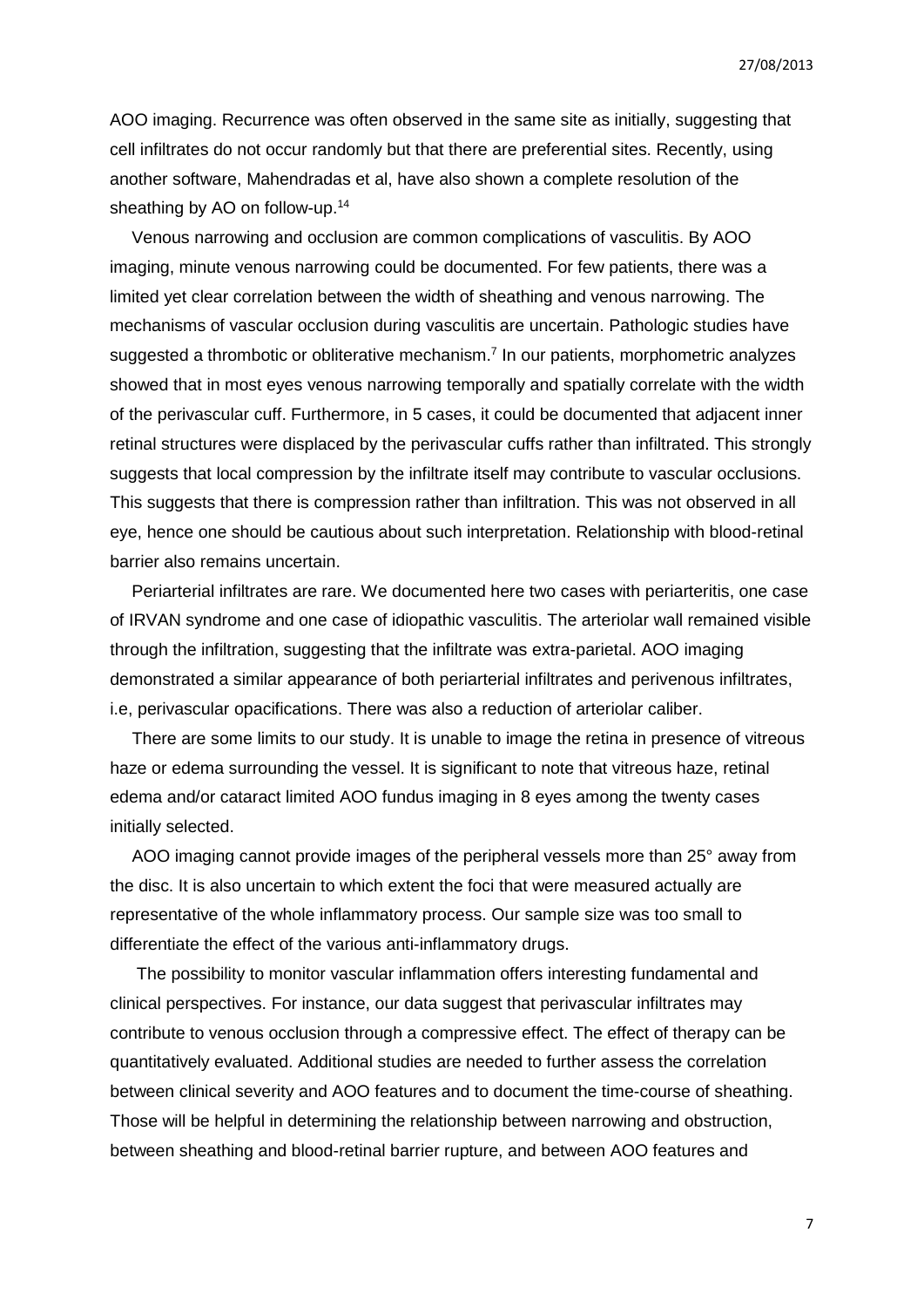AOO imaging. Recurrence was often observed in the same site as initially, suggesting that cell infiltrates do not occur randomly but that there are preferential sites. Recently, using another software, Mahendradas et al, have also shown a complete resolution of the sheathing by AO on follow-up.<sup>14</sup>

Venous narrowing and occlusion are common complications of vasculitis. By AOO imaging, minute venous narrowing could be documented. For few patients, there was a limited yet clear correlation between the width of sheathing and venous narrowing. The mechanisms of vascular occlusion during vasculitis are uncertain. Pathologic studies have suggested a thrombotic or obliterative mechanism.<sup>7</sup> In our patients, morphometric analyzes showed that in most eyes venous narrowing temporally and spatially correlate with the width of the perivascular cuff. Furthermore, in 5 cases, it could be documented that adjacent inner retinal structures were displaced by the perivascular cuffs rather than infiltrated. This strongly suggests that local compression by the infiltrate itself may contribute to vascular occlusions. This suggests that there is compression rather than infiltration. This was not observed in all eye, hence one should be cautious about such interpretation. Relationship with blood-retinal barrier also remains uncertain.

Periarterial infiltrates are rare. We documented here two cases with periarteritis, one case of IRVAN syndrome and one case of idiopathic vasculitis. The arteriolar wall remained visible through the infiltration, suggesting that the infiltrate was extra-parietal. AOO imaging demonstrated a similar appearance of both periarterial infiltrates and perivenous infiltrates, i.e, perivascular opacifications. There was also a reduction of arteriolar caliber.

There are some limits to our study. It is unable to image the retina in presence of vitreous haze or edema surrounding the vessel. It is significant to note that vitreous haze, retinal edema and/or cataract limited AOO fundus imaging in 8 eyes among the twenty cases initially selected.

AOO imaging cannot provide images of the peripheral vessels more than 25° away from the disc. It is also uncertain to which extent the foci that were measured actually are representative of the whole inflammatory process. Our sample size was too small to differentiate the effect of the various anti-inflammatory drugs.

The possibility to monitor vascular inflammation offers interesting fundamental and clinical perspectives. For instance, our data suggest that perivascular infiltrates may contribute to venous occlusion through a compressive effect. The effect of therapy can be quantitatively evaluated. Additional studies are needed to further assess the correlation between clinical severity and AOO features and to document the time-course of sheathing. Those will be helpful in determining the relationship between narrowing and obstruction, between sheathing and blood-retinal barrier rupture, and between AOO features and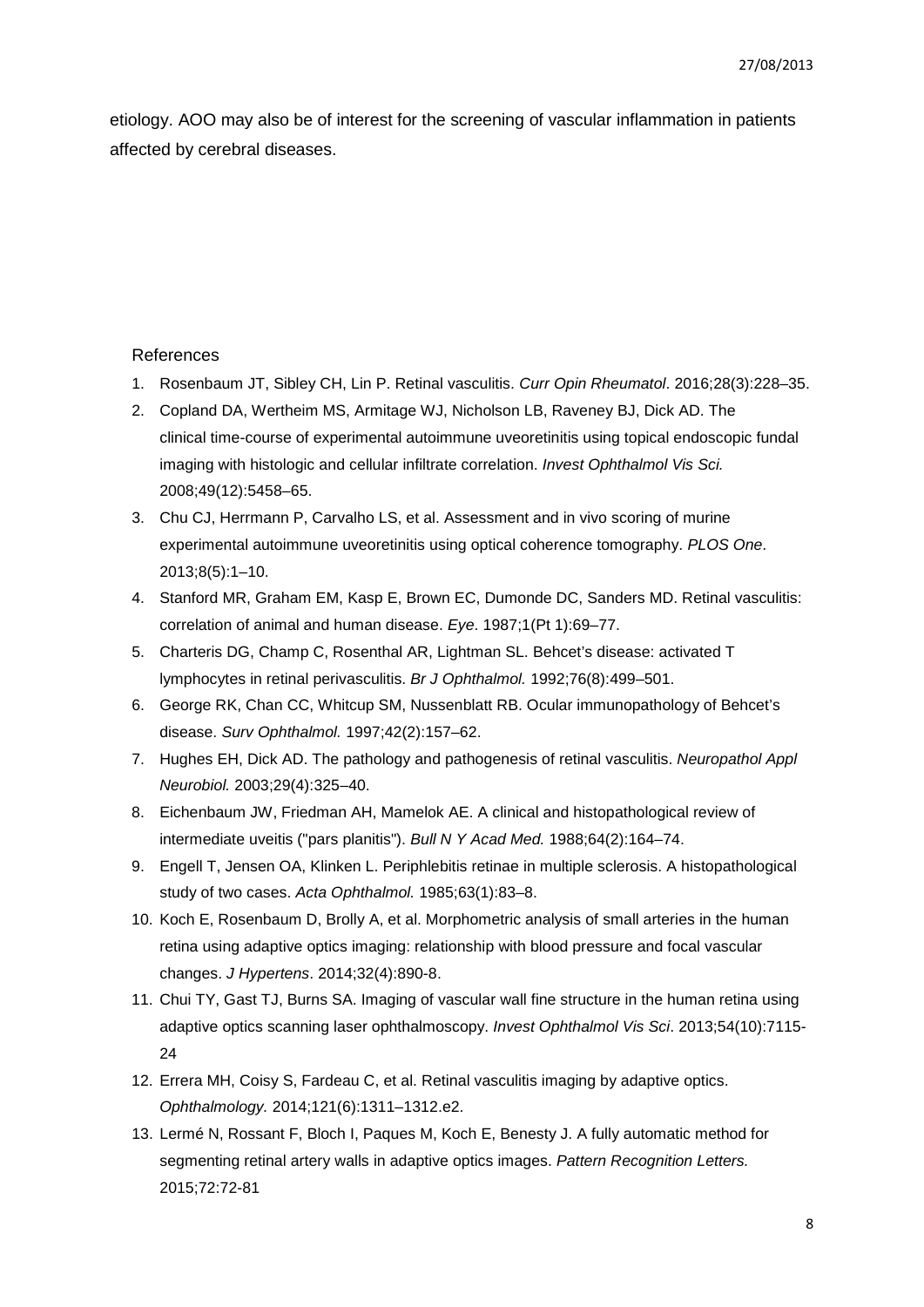etiology. AOO may also be of interest for the screening of vascular inflammation in patients affected by cerebral diseases.

#### References

- 1. Rosenbaum JT, Sibley CH, Lin P. Retinal vasculitis. *Curr Opin Rheumatol*. 2016;28(3):228–35.
- 2. Copland DA, Wertheim MS, Armitage WJ, Nicholson LB, Raveney BJ, Dick AD. The clinical time-course of experimental autoimmune uveoretinitis using topical endoscopic fundal imaging with histologic and cellular infiltrate correlation. *Invest Ophthalmol Vis Sci.*  2008;49(12):5458–65.
- 3. Chu CJ, Herrmann P, Carvalho LS, et al. Assessment and in vivo scoring of murine experimental autoimmune uveoretinitis using optical coherence tomography. *PLOS One*. 2013;8(5):1–10.
- 4. Stanford MR, Graham EM, Kasp E, Brown EC, Dumonde DC, Sanders MD. Retinal vasculitis: correlation of animal and human disease. *Eye*. 1987;1(Pt 1):69–77.
- 5. Charteris DG, Champ C, Rosenthal AR, Lightman SL. Behcet's disease: activated T lymphocytes in retinal perivasculitis. *Br J Ophthalmol.* 1992;76(8):499–501.
- 6. George RK, Chan CC, Whitcup SM, Nussenblatt RB. Ocular immunopathology of Behcet's disease. *Surv Ophthalmol.* 1997;42(2):157–62.
- 7. [Hughes EH,](http://www.ncbi.nlm.nih.gov/pubmed?term=Hughes%20EH%5BAuthor%5D&cauthor=true&cauthor_uid=12887593) [Dick AD.](http://www.ncbi.nlm.nih.gov/pubmed?term=Dick%20AD%5BAuthor%5D&cauthor=true&cauthor_uid=12887593) The pathology and pathogenesis of retinal vasculitis. *[Neuropathol](http://www.ncbi.nlm.nih.gov/pubmed/?term=immunopathology+multiple+sclerosis+eye) Appl [Neurobiol.](http://www.ncbi.nlm.nih.gov/pubmed/?term=immunopathology+multiple+sclerosis+eye)* 2003;29(4):325–40.
- 8. [Eichenbaum JW,](http://www.ncbi.nlm.nih.gov/pubmed?term=Eichenbaum%20JW%5BAuthor%5D&cauthor=true&cauthor_uid=3073831) [Friedman AH,](http://www.ncbi.nlm.nih.gov/pubmed?term=Friedman%20AH%5BAuthor%5D&cauthor=true&cauthor_uid=3073831) [Mamelok AE.](http://www.ncbi.nlm.nih.gov/pubmed?term=Mamelok%20AE%5BAuthor%5D&cauthor=true&cauthor_uid=3073831) A clinical and histopathological review of intermediate uveitis ("pars planitis"). *[Bull N Y Acad Med.](http://www.ncbi.nlm.nih.gov/pubmed/3073831)* 1988;64(2):164–74.
- 9. Engell T, Jensen OA, Klinken L. Periphlebitis retinae in multiple sclerosis. A histopathological study of two cases. *Acta Ophthalmol.* 1985;63(1):83–8.
- 10. Koch E, Rosenbaum D, Brolly A, et al. [Morphometric analysis of small arteries in the human](http://www.ncbi.nlm.nih.gov/pubmed/24406779)  [retina using adaptive optics imaging: relationship with blood pressure and focal vascular](http://www.ncbi.nlm.nih.gov/pubmed/24406779)  [changes.](http://www.ncbi.nlm.nih.gov/pubmed/24406779) *J Hypertens*. 2014;32(4):890-8.
- 11. Chui TY, Gast TJ, Burns SA. Imaging of vascular wall fine structure in the human retina using adaptive optics scanning laser ophthalmoscopy. *Invest Ophthalmol Vis Sci*. 2013;54(10):7115- 24
- 12. Errera MH, Coisy S, Fardeau C, et al. Retinal vasculitis imaging by adaptive optics. *Ophthalmology.* 2014;121(6):1311–1312.e2.
- 13. Lermé N, Rossant F, Bloch I, Paques M, Koch E, Benesty J. A fully automatic method for segmenting retinal artery walls in adaptive optics images. *Pattern Recognition Letters.* 2015;72:72-81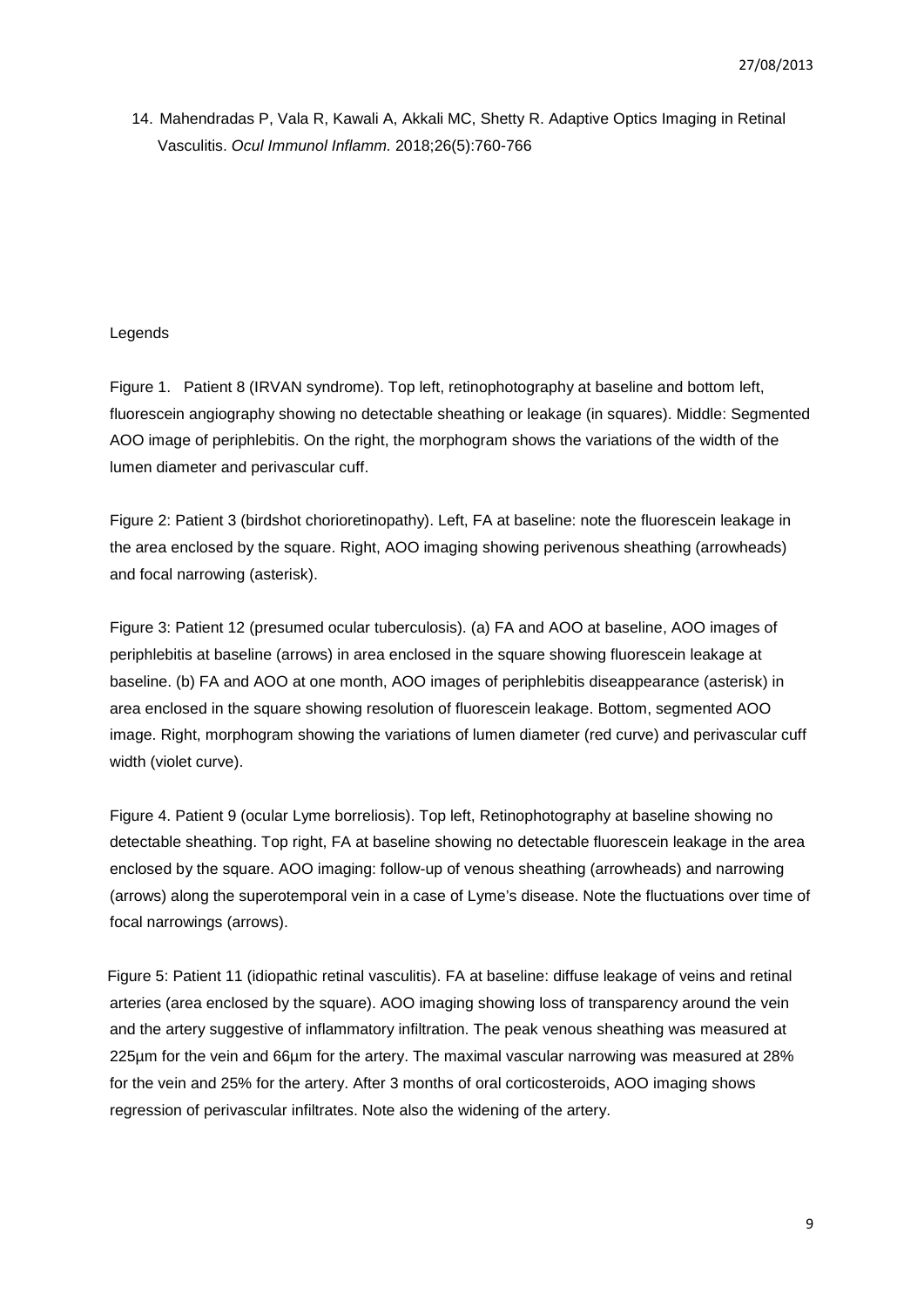14. Mahendradas P, Vala R, Kawali A, Akkali MC, Shetty R. Adaptive Optics Imaging in Retinal Vasculitis. *Ocul Immunol Inflamm.* 2018;26(5):760-766

#### Legends

Figure 1. Patient 8 (IRVAN syndrome). Top left, retinophotography at baseline and bottom left, fluorescein angiography showing no detectable sheathing or leakage (in squares). Middle: Segmented AOO image of periphlebitis. On the right, the morphogram shows the variations of the width of the lumen diameter and perivascular cuff.

Figure 2: Patient 3 (birdshot chorioretinopathy). Left, FA at baseline: note the fluorescein leakage in the area enclosed by the square. Right, AOO imaging showing perivenous sheathing (arrowheads) and focal narrowing (asterisk).

Figure 3: Patient 12 (presumed ocular tuberculosis). (a) FA and AOO at baseline, AOO images of periphlebitis at baseline (arrows) in area enclosed in the square showing fluorescein leakage at baseline. (b) FA and AOO at one month, AOO images of periphlebitis diseappearance (asterisk) in area enclosed in the square showing resolution of fluorescein leakage. Bottom, segmented AOO image. Right, morphogram showing the variations of lumen diameter (red curve) and perivascular cuff width (violet curve).

Figure 4. Patient 9 (ocular Lyme borreliosis). Top left, Retinophotography at baseline showing no detectable sheathing. Top right, FA at baseline showing no detectable fluorescein leakage in the area enclosed by the square. AOO imaging: follow-up of venous sheathing (arrowheads) and narrowing (arrows) along the superotemporal vein in a case of Lyme's disease. Note the fluctuations over time of focal narrowings (arrows).

 Figure 5: Patient 11 (idiopathic retinal vasculitis). FA at baseline: diffuse leakage of veins and retinal arteries (area enclosed by the square). AOO imaging showing loss of transparency around the vein and the artery suggestive of inflammatory infiltration. The peak venous sheathing was measured at 225µm for the vein and 66µm for the artery. The maximal vascular narrowing was measured at 28% for the vein and 25% for the artery. After 3 months of oral corticosteroids, AOO imaging shows regression of perivascular infiltrates. Note also the widening of the artery.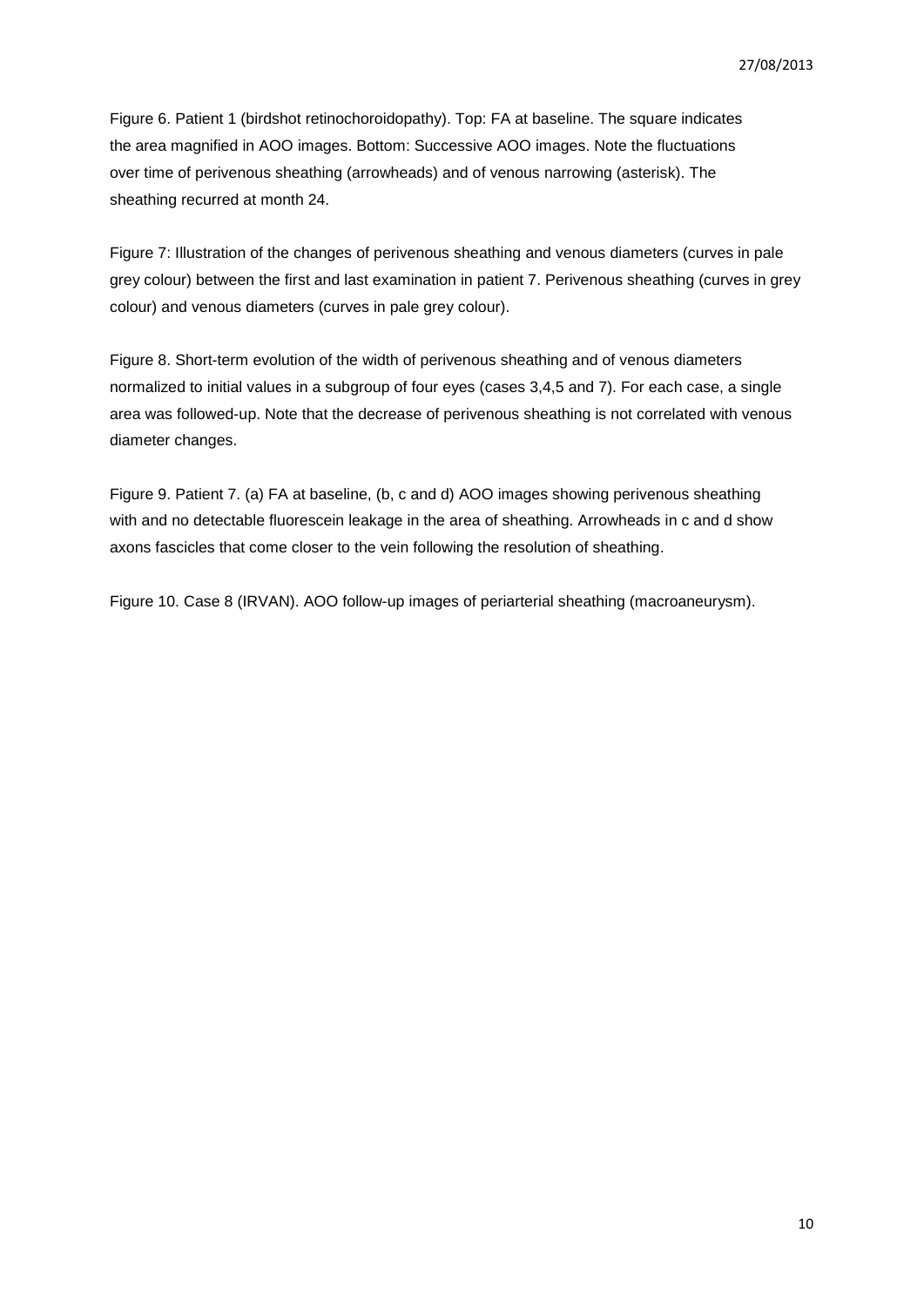Figure 6. Patient 1 (birdshot retinochoroidopathy). Top: FA at baseline. The square indicates the area magnified in AOO images. Bottom: Successive AOO images. Note the fluctuations over time of perivenous sheathing (arrowheads) and of venous narrowing (asterisk). The sheathing recurred at month 24.

Figure 7: Illustration of the changes of perivenous sheathing and venous diameters (curves in pale grey colour) between the first and last examination in patient 7. Perivenous sheathing (curves in grey colour) and venous diameters (curves in pale grey colour).

Figure 8. Short-term evolution of the width of perivenous sheathing and of venous diameters normalized to initial values in a subgroup of four eyes (cases 3,4,5 and 7). For each case, a single area was followed-up. Note that the decrease of perivenous sheathing is not correlated with venous diameter changes.

Figure 9. Patient 7. (a) FA at baseline, (b, c and d) AOO images showing perivenous sheathing with and no detectable fluorescein leakage in the area of sheathing. Arrowheads in c and d show axons fascicles that come closer to the vein following the resolution of sheathing.

Figure 10. Case 8 (IRVAN). AOO follow-up images of periarterial sheathing (macroaneurysm).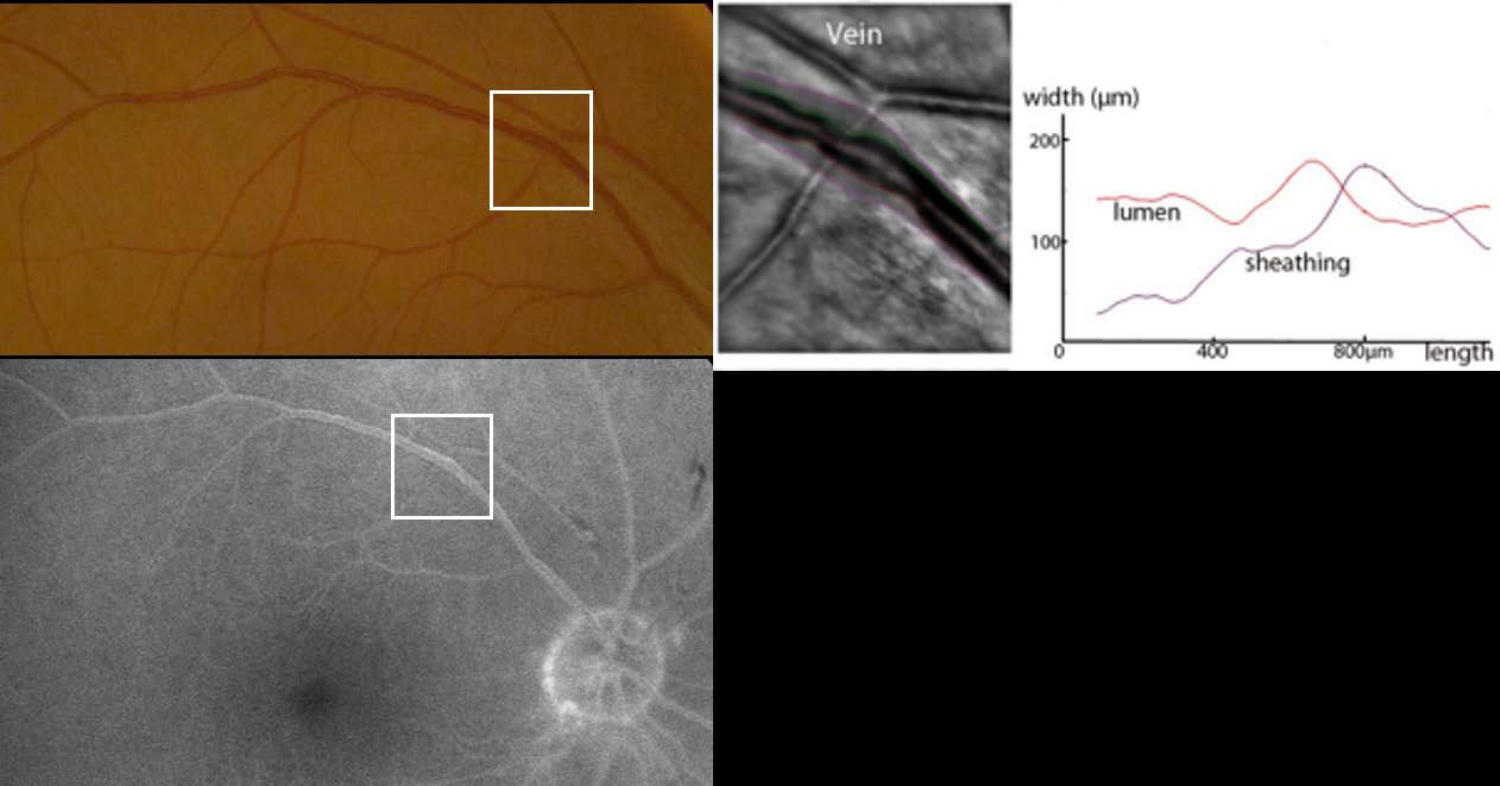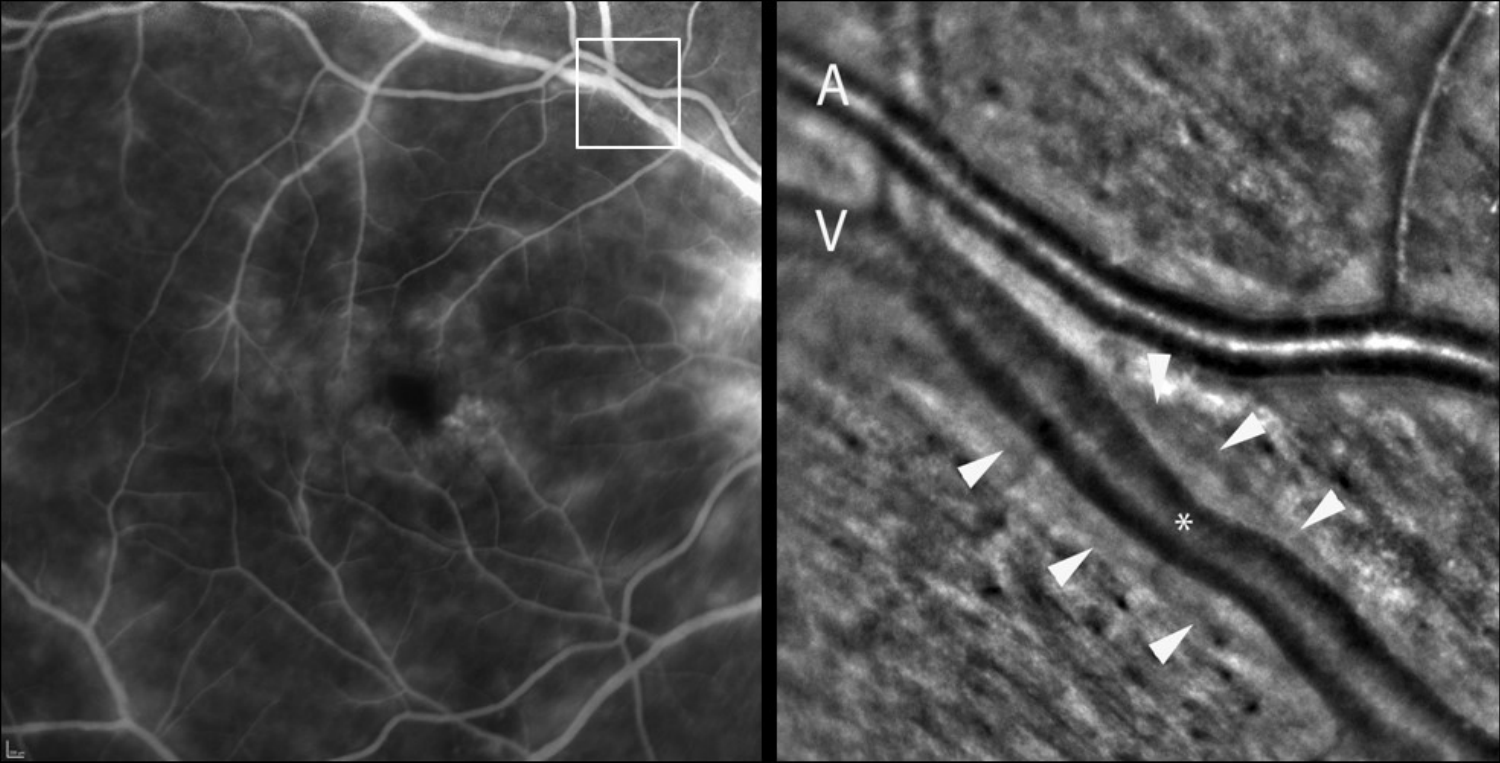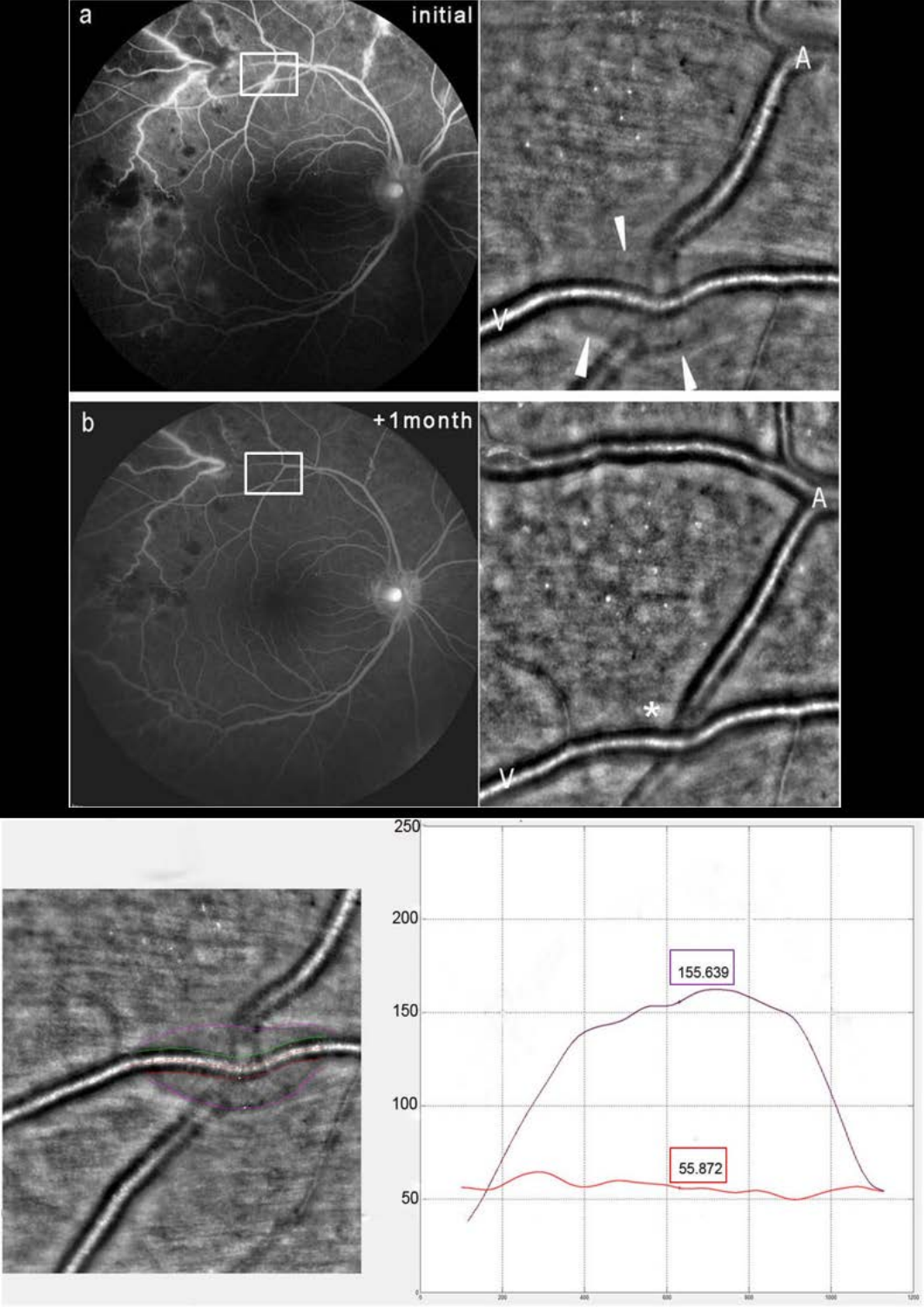



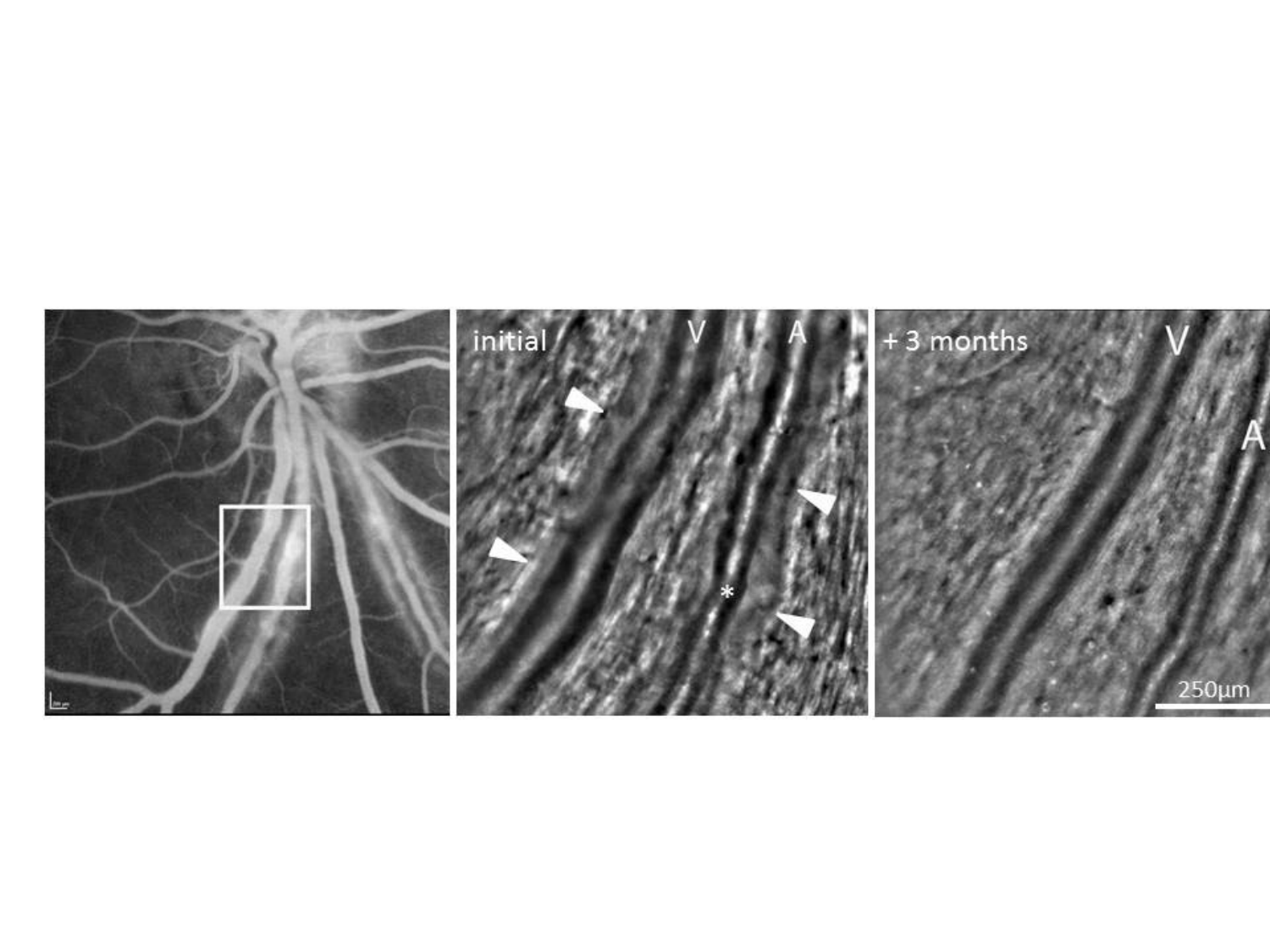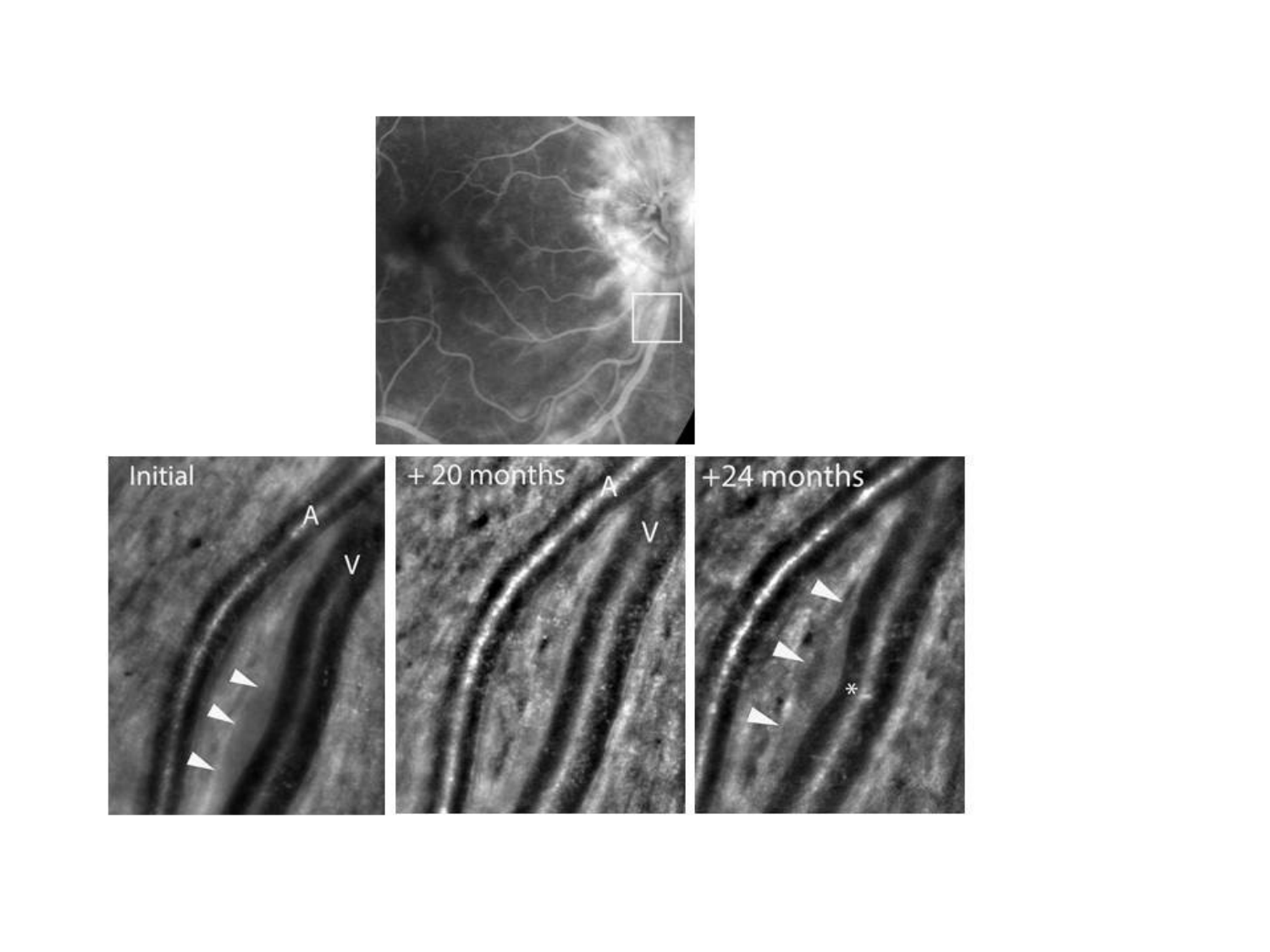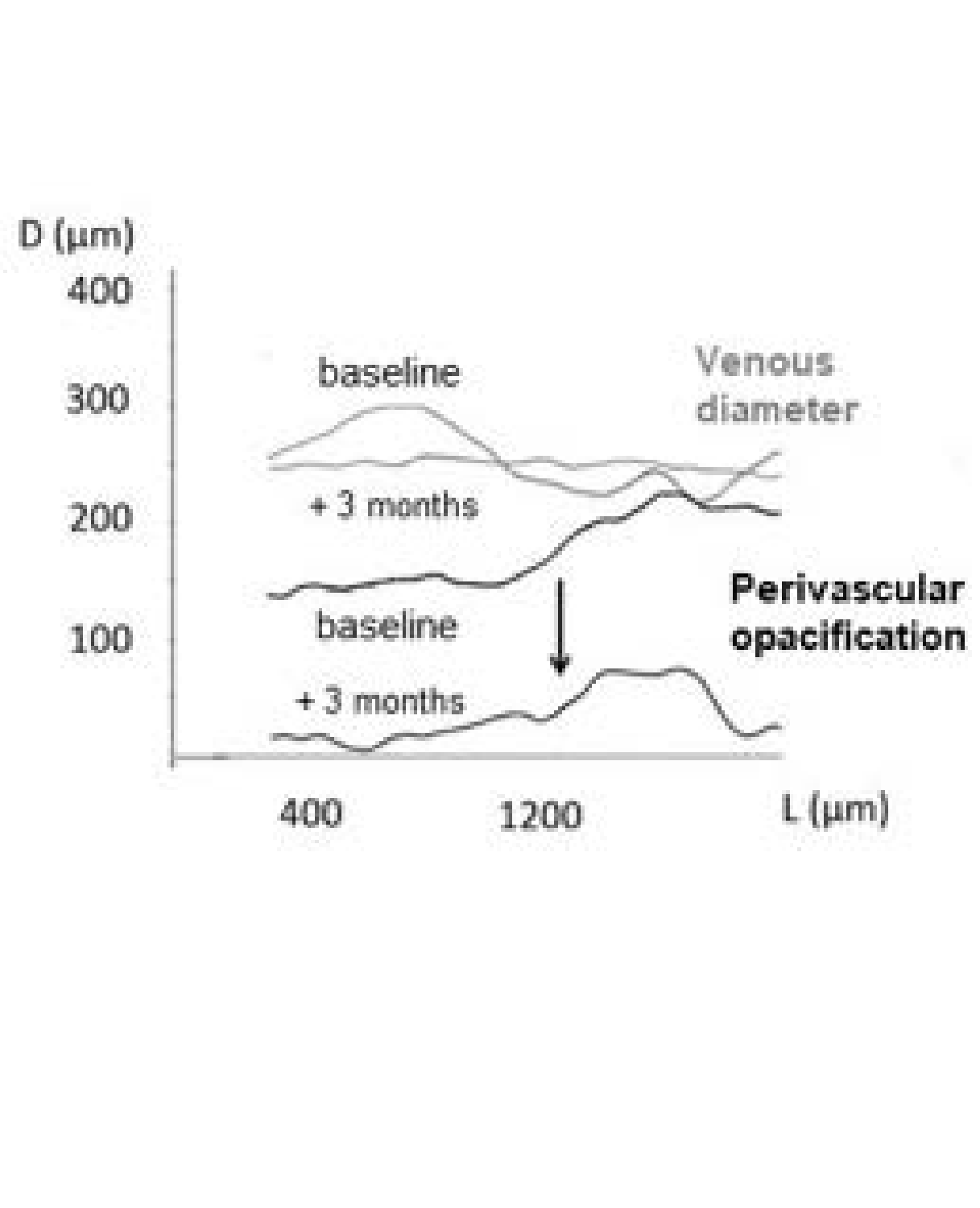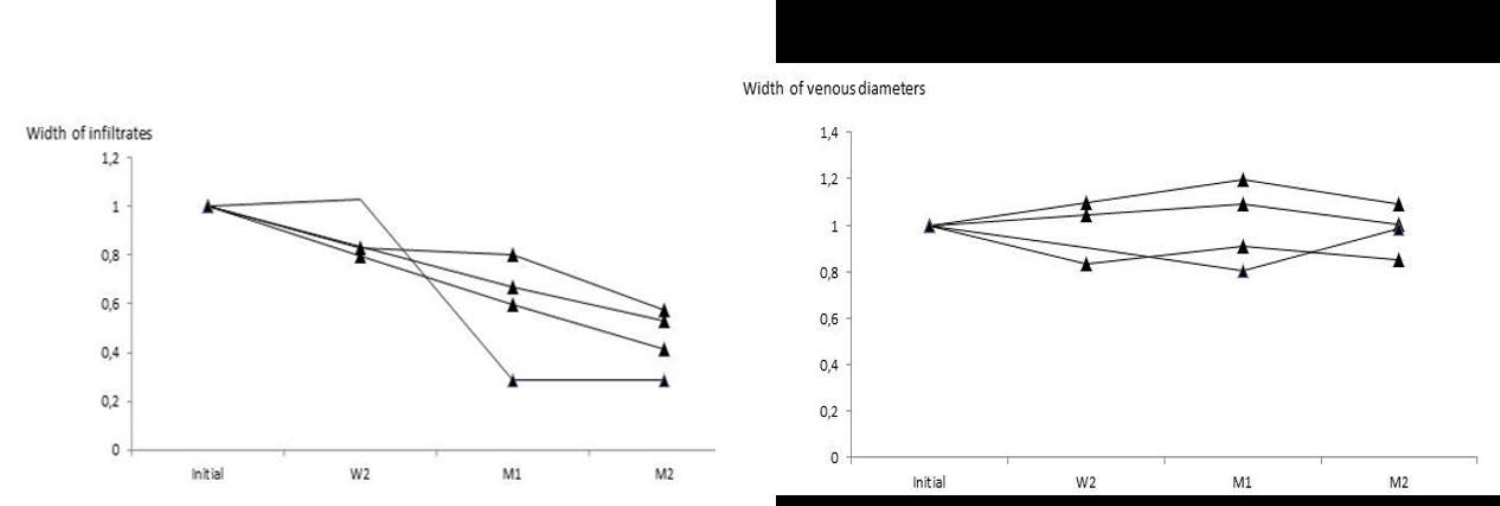

#### Width of venous diameters

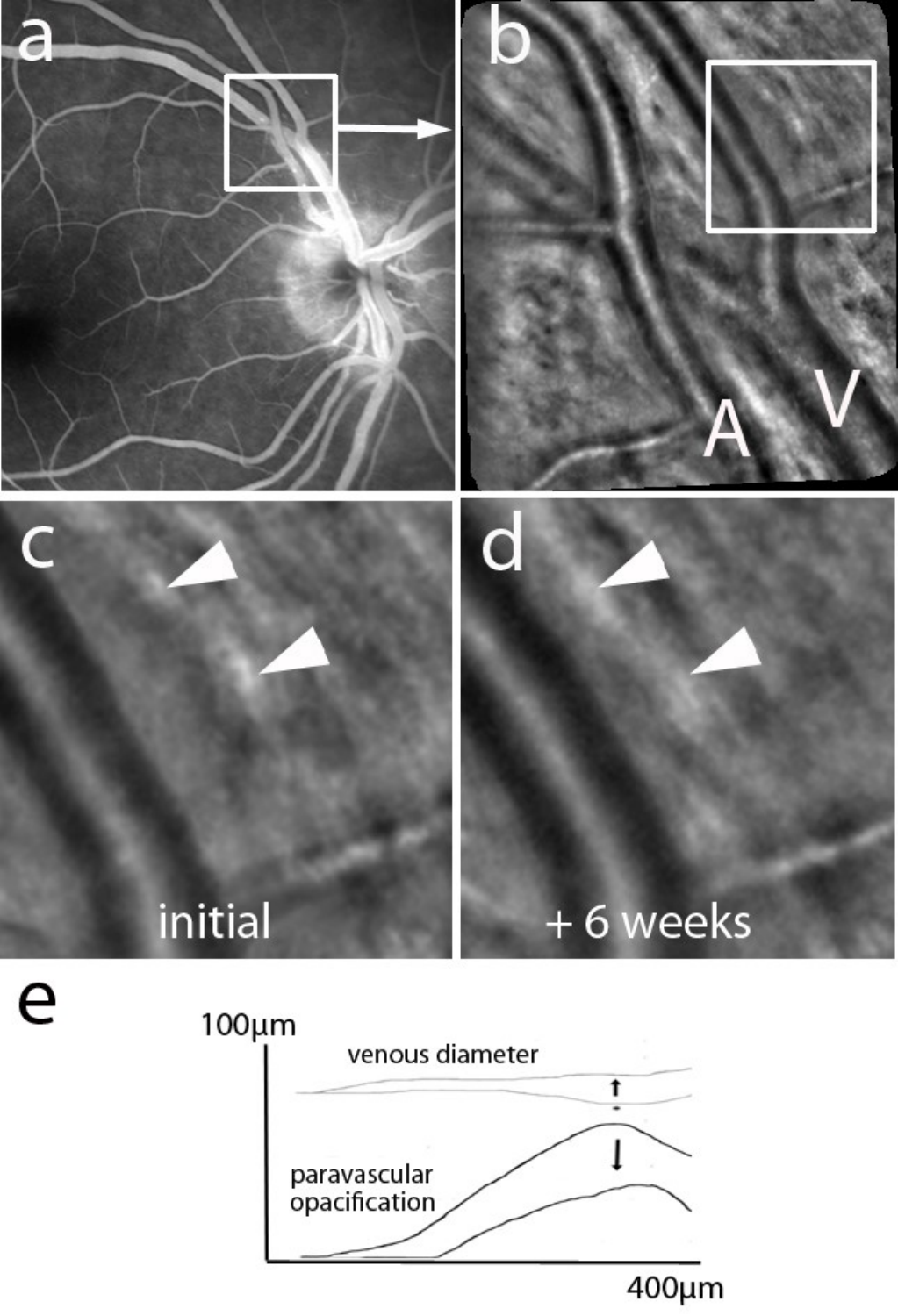



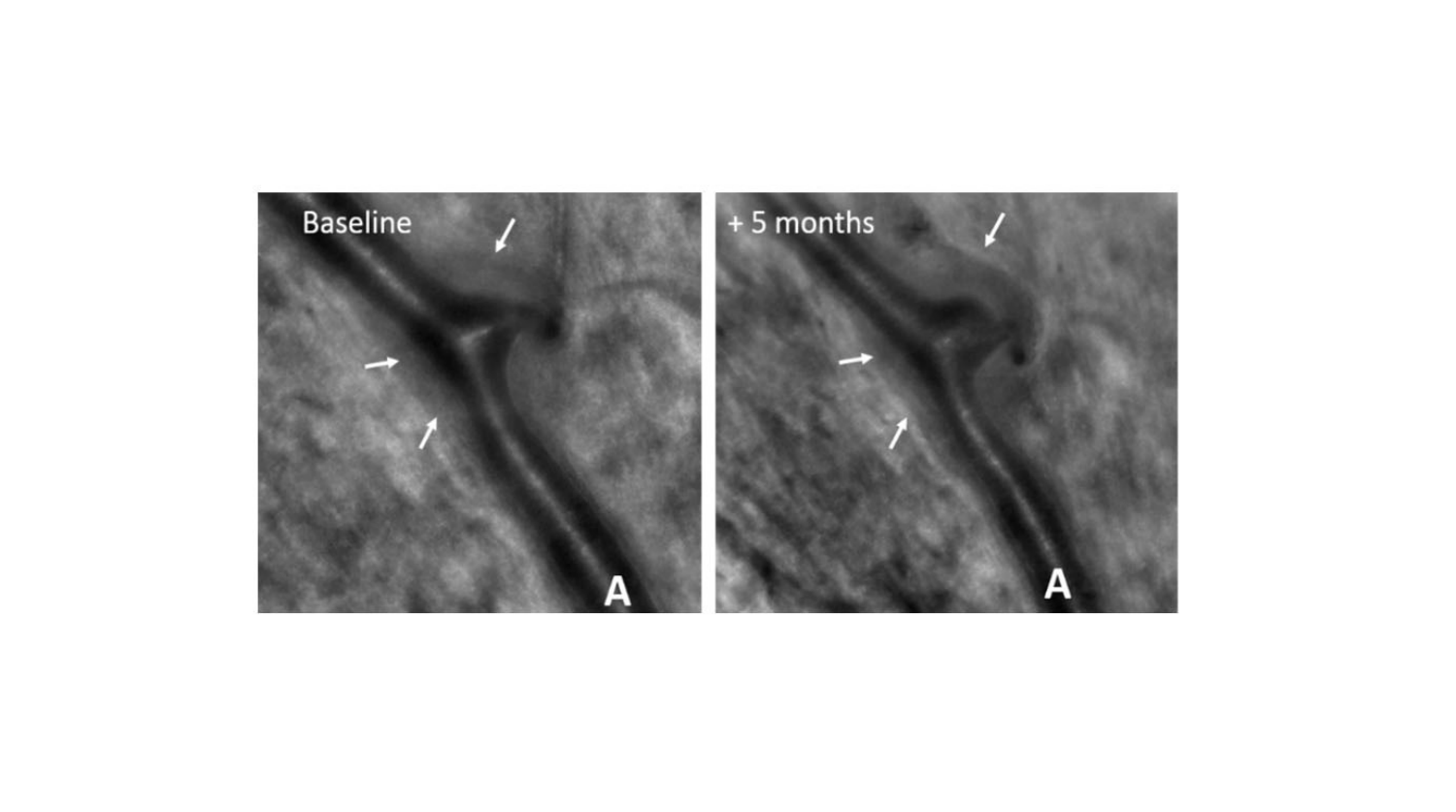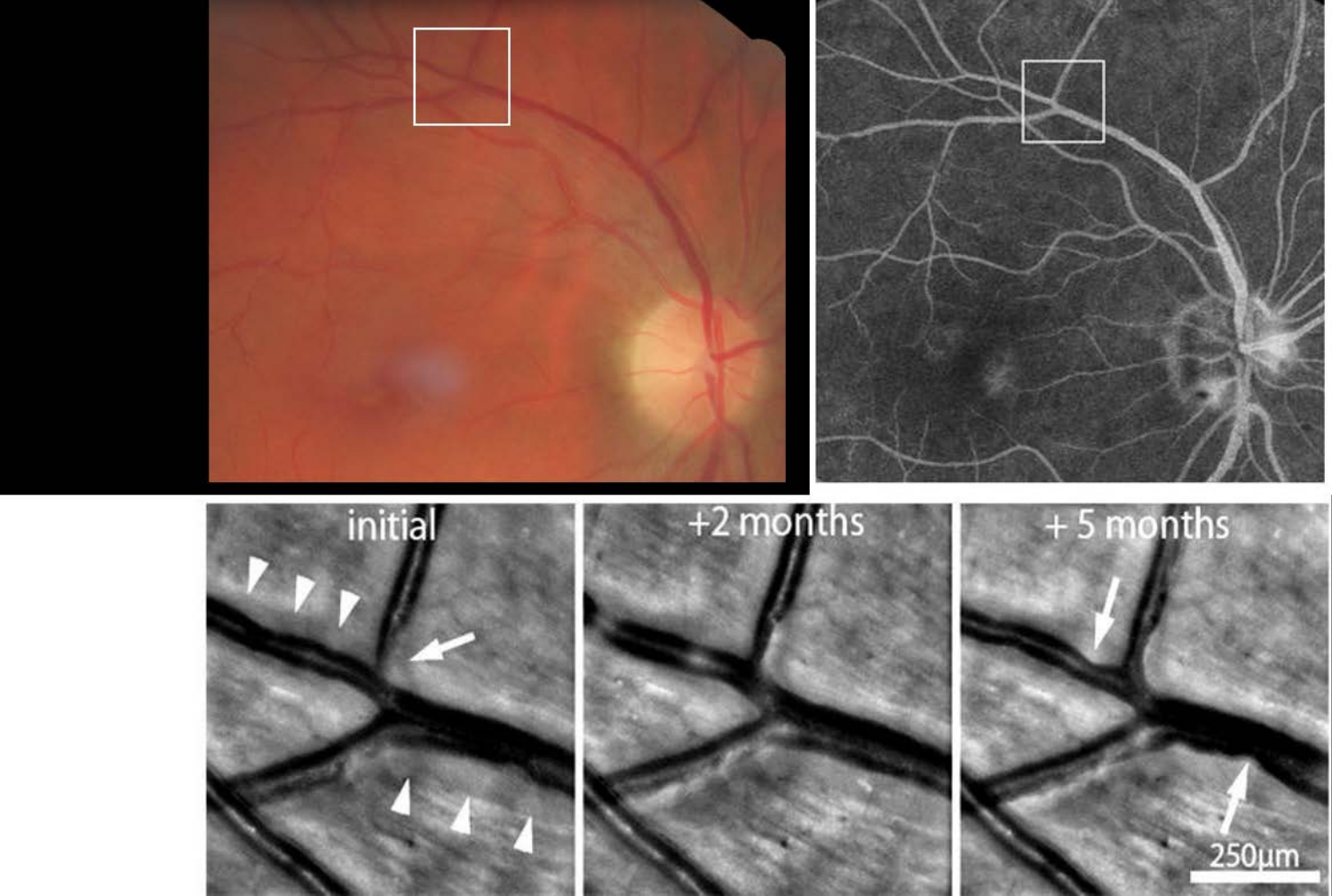